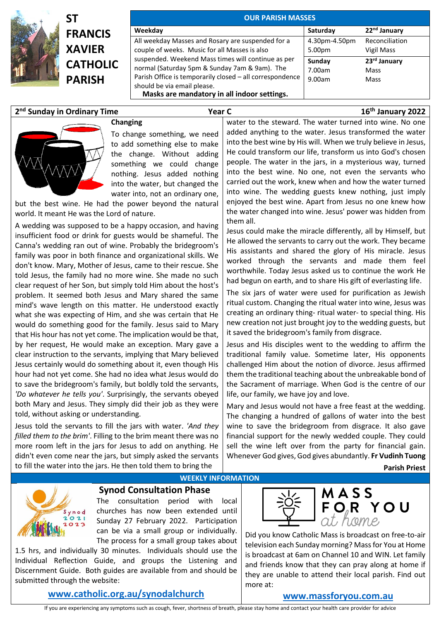

| SΤ              |
|-----------------|
| <b>FRANCIS</b>  |
| <b>XAVIER</b>   |
| <b>CATHOLIC</b> |
| <b>PARISH</b>   |
|                 |

| <b>OUR PARISH MASSES</b>                                                                                                                                                                                                                      |                            |                              |  |  |
|-----------------------------------------------------------------------------------------------------------------------------------------------------------------------------------------------------------------------------------------------|----------------------------|------------------------------|--|--|
| Weekday                                                                                                                                                                                                                                       | Saturday                   | 22 <sup>nd</sup> January     |  |  |
| All weekday Masses and Rosary are suspended for a<br>couple of weeks. Music for all Masses is also                                                                                                                                            | 4.30pm-4.50pm<br>5.00pm    | Reconciliation<br>Vigil Mass |  |  |
| suspended. Weekend Mass times will continue as per<br>normal (Saturday 5pm & Sunday 7am & 9am). The<br>Parish Office is temporarily closed - all correspondence<br>should be via email please.<br>Masks are mandatory in all indoor settings. | Sunday<br>7.00am<br>9.00am | 23rd January<br>Mass<br>Mass |  |  |

# **2 nd Sunday in Ordinary Time Year C 16th January 2022**



## **Changing** To change something, we need to add something else to make the change. Without adding something we could change nothing. Jesus added nothing into the water, but changed the

water into, not an ordinary one, but the best wine. He had the power beyond the natural world. It meant He was the Lord of nature.

A wedding was supposed to be a happy occasion, and having insufficient food or drink for guests would be shameful. The Canna's wedding ran out of wine. Probably the bridegroom's family was poor in both finance and organizational skills. We don't know. Mary, Mother of Jesus, came to their rescue. She told Jesus, the family had no more wine. She made no such clear request of her Son, but simply told Him about the host's problem. It seemed both Jesus and Mary shared the same mind's wave length on this matter. He understood exactly what she was expecting of Him, and she was certain that He would do something good for the family. Jesus said to Mary that His hour has not yet come. The implication would be that, by her request, He would make an exception. Mary gave a clear instruction to the servants, implying that Mary believed Jesus certainly would do something about it, even though His hour had not yet come. She had no idea what Jesus would do to save the bridegroom's family, but boldly told the servants, *'Do whatever he tells you'*. Surprisingly, the servants obeyed both Mary and Jesus. They simply did their job as they were told, without asking or understanding.

Jesus told the servants to fill the jars with water. *'And they filled them to the brim'*. Filling to the brim meant there was no more room left in the jars for Jesus to add on anything. He didn't even come near the jars, but simply asked the servants to fill the water into the jars. He then told them to bring the

water to the steward. The water turned into wine. No one added anything to the water. Jesus transformed the water into the best wine by His will. When we truly believe in Jesus, He could transform our life, transform us into God's chosen people. The water in the jars, in a mysterious way, turned into the best wine. No one, not even the servants who carried out the work, knew when and how the water turned into wine. The wedding guests knew nothing, just imply enjoyed the best wine. Apart from Jesus no one knew how the water changed into wine. Jesus' power was hidden from them all.

Jesus could make the miracle differently, all by Himself, but He allowed the servants to carry out the work. They became His assistants and shared the glory of His miracle. Jesus worked through the servants and made them feel worthwhile. Today Jesus asked us to continue the work He had begun on earth, and to share His gift of everlasting life.

The six jars of water were used for purification as Jewish ritual custom. Changing the ritual water into wine, Jesus was creating an ordinary thing- ritual water- to special thing. His new creation not just brought joy to the wedding guests, but it saved the bridegroom's family from disgrace.

Jesus and His disciples went to the wedding to affirm the traditional family value. Sometime later, His opponents challenged Him about the notion of divorce. Jesus affirmed them the traditional teaching about the unbreakable bond of the Sacrament of marriage. When God is the centre of our life, our family, we have joy and love.

Mary and Jesus would not have a free feast at the wedding. The changing a hundred of gallons of water into the best wine to save the bridegroom from disgrace. It also gave financial support for the newly wedded couple. They could sell the wine left over from the party for financial gain. Whenever God gives, God gives abundantly. **Fr Vudinh Tuong**

 **Parish Priest**



### **Synod Consultation Phase**

The consultation period with local churches has now been extended until Sunday 27 February 2022. Participation can be via a small group or individually. The process for a small group takes about

1.5 hrs, and individually 30 minutes. Individuals should use the Individual Reflection Guide, and groups the Listening and Discernment Guide. Both guides are available from and should be submitted through the website:

# **[www.catholic.org.au/synodalchurch](https://www.catholic.org.au/synodalchurch)**



Did you know Catholic Mass is broadcast on free-to-air television each Sunday morning? Mass for You at Home is broadcast at 6am on Channel 10 and WIN. Let family and friends know that they can pray along at home if they are unable to attend their local parish. Find out more at:

## **[www.massforyou.com.au](http://www.massforyou.com.au/)**

If you are experiencing any symptoms such as cough, fever, shortness of breath, please stay home and contact your health care provider for advice